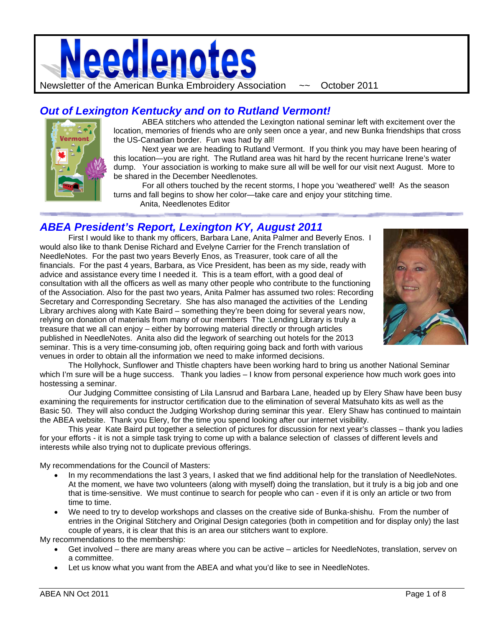

# *Out of Lexington Kentucky and on to Rutland Vermont!*



ABEA stitchers who attended the Lexington national seminar left with excitement over the location, memories of friends who are only seen once a year, and new Bunka friendships that cross the US-Canadian border. Fun was had by all!

 Next year we are heading to Rutland Vermont. If you think you may have been hearing of this location—you are right. The Rutland area was hit hard by the recent hurricane Irene's water dump. Your association is working to make sure all will be well for our visit next August. More to be shared in the December Needlenotes.

 For all others touched by the recent storms, I hope you 'weathered' well! As the season turns and fall begins to show her color—take care and enjoy your stitching time. Anita, Needlenotes Editor

## *ABEA President's Report, Lexington KY, August 2011*

First I would like to thank my officers, Barbara Lane, Anita Palmer and Beverly Enos. I would also like to thank Denise Richard and Evelyne Carrier for the French translation of NeedleNotes. For the past two years Beverly Enos, as Treasurer, took care of all the financials. For the past 4 years, Barbara, as Vice President, has been as my side, ready with advice and assistance every time I needed it. This is a team effort, with a good deal of consultation with all the officers as well as many other people who contribute to the functioning of the Association. Also for the past two years, Anita Palmer has assumed two roles: Recording Secretary and Corresponding Secretary. She has also managed the activities of the Lending Library archives along with Kate Baird – something they're been doing for several years now, relying on donation of materials from many of our members The :Lending Library is truly a treasure that we all can enjoy – either by borrowing material directly or through articles published in NeedleNotes. Anita also did the legwork of searching out hotels for the 2013 seminar. This is a very time-consuming job, often requiring going back and forth with various venues in order to obtain all the information we need to make informed decisions.



The Hollyhock, Sunflower and Thistle chapters have been working hard to bring us another National Seminar which I'm sure will be a huge success. Thank you ladies – I know from personal experience how much work goes into hostessing a seminar.

Our Judging Committee consisting of Lila Lansrud and Barbara Lane, headed up by Elery Shaw have been busy examining the requirements for instructor certification due to the elimination of several Matsuhato kits as well as the Basic 50. They will also conduct the Judging Workshop during seminar this year. Elery Shaw has continued to maintain the ABEA website. Thank you Elery, for the time you spend looking after our internet visibility.

This year Kate Baird put together a selection of pictures for discussion for next year's classes – thank you ladies for your efforts - it is not a simple task trying to come up with a balance selection of classes of different levels and interests while also trying not to duplicate previous offerings.

My recommendations for the Council of Masters:

- In my recommendations the last 3 years, I asked that we find additional help for the translation of NeedleNotes. At the moment, we have two volunteers (along with myself) doing the translation, but it truly is a big job and one that is time-sensitive. We must continue to search for people who can - even if it is only an article or two from time to time.
- We need to try to develop workshops and classes on the creative side of Bunka-shishu. From the number of entries in the Original Stitchery and Original Design categories (both in competition and for display only) the last couple of years, it is clear that this is an area our stitchers want to explore.

My recommendations to the membership:

- Get involved there are many areas where you can be active articles for NeedleNotes, translation, servev on a committee.
- Let us know what you want from the ABEA and what you'd like to see in NeedleNotes.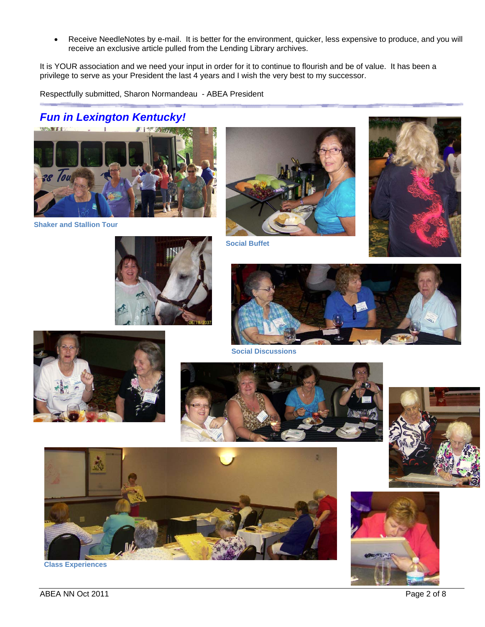Receive NeedleNotes by e-mail. It is better for the environment, quicker, less expensive to produce, and you will receive an exclusive article pulled from the Lending Library archives.

It is YOUR association and we need your input in order for it to continue to flourish and be of value. It has been a privilege to serve as your President the last 4 years and I wish the very best to my successor.

Respectfully submitted, Sharon Normandeau - ABEA President

# *Fun in Lexington Kentucky!*



**Shaker and Stallion Tour**







**Social Buffet**





**Social Discussions**





**Class Experiences**

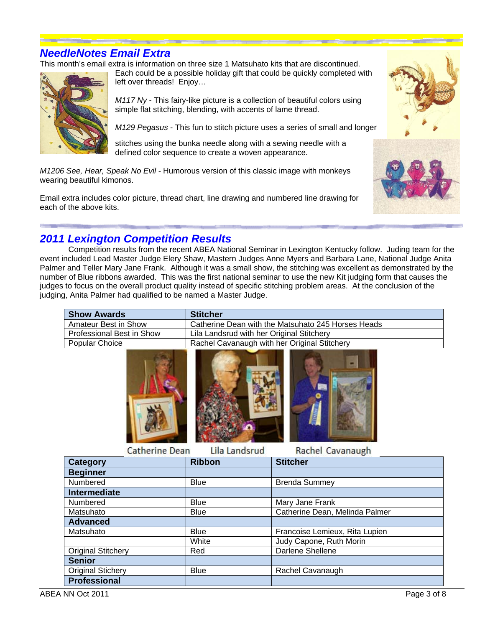## *NeedleNotes Email Extra*

This month's email extra is information on three size 1 Matsuhato kits that are discontinued.



Each could be a possible holiday gift that could be quickly completed with left over threads! Enjoy…

*M117 Ny* - This fairy-like picture is a collection of beautiful colors using simple flat stitching, blending, with accents of lame thread.

*M129 Pegasus* - This fun to stitch picture uses a series of small and longer

stitches using the bunka needle along with a sewing needle with a defined color sequence to create a woven appearance.

*M1206 See, Hear, Speak No Evil* - Humorous version of this classic image with monkeys wearing beautiful kimonos.

Email extra includes color picture, thread chart, line drawing and numbered line drawing for each of the above kits.





## *2011 Lexington Competition Results*

Competition results from the recent ABEA National Seminar in Lexington Kentucky follow. Juding team for the event included Lead Master Judge Elery Shaw, Mastern Judges Anne Myers and Barbara Lane, National Judge Anita Palmer and Teller Mary Jane Frank. Although it was a small show, the stitching was excellent as demonstrated by the number of Blue ribbons awarded. This was the first national seminar to use the new Kit judging form that causes the judges to focus on the overall product quality instead of specific stitching problem areas. At the conclusion of the judging, Anita Palmer had qualified to be named a Master Judge.

| <b>Show Awards</b>        | <b>Stitcher</b>                                    |
|---------------------------|----------------------------------------------------|
| Amateur Best in Show      | Catherine Dean with the Matsuhato 245 Horses Heads |
| Professional Best in Show | Lila Landsrud with her Original Stitchery          |
| Popular Choice            | Rachel Cavanaugh with her Original Stitchery       |
|                           |                                                    |



**Catherine Dean** Lila Landsrud Rachel Cavanaugh

| <b>Category</b>           | <b>Ribbon</b> | <b>Stitcher</b>                |  |
|---------------------------|---------------|--------------------------------|--|
| <b>Beginner</b>           |               |                                |  |
| Numbered                  | <b>Blue</b>   | <b>Brenda Summey</b>           |  |
| <b>Intermediate</b>       |               |                                |  |
| Numbered                  | <b>Blue</b>   | Mary Jane Frank                |  |
| Matsuhato                 | <b>Blue</b>   | Catherine Dean, Melinda Palmer |  |
| <b>Advanced</b>           |               |                                |  |
| Matsuhato                 | <b>Blue</b>   | Francoise Lemieux, Rita Lupien |  |
|                           | White         | Judy Capone, Ruth Morin        |  |
| <b>Original Stitchery</b> | Red           | Darlene Shellene               |  |
| <b>Senior</b>             |               |                                |  |
| <b>Original Stichery</b>  | <b>Blue</b>   | Rachel Cavanaugh               |  |
| <b>Professional</b>       |               |                                |  |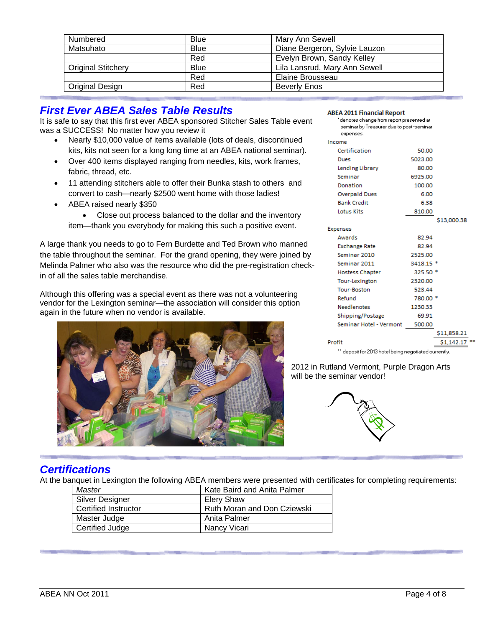| Numbered                  | Blue        | Mary Ann Sewell               |
|---------------------------|-------------|-------------------------------|
| Matsuhato                 | <b>Blue</b> | Diane Bergeron, Sylvie Lauzon |
|                           | Red         | Evelyn Brown, Sandy Kelley    |
| <b>Original Stitchery</b> | <b>Blue</b> | Lila Lansrud, Mary Ann Sewell |
|                           | Red         | Elaine Brousseau              |
| Original Design           | Red         | Beverly Enos                  |

# *First Ever ABEA Sales Table Results*

It is safe to say that this first ever ABEA sponsored Stitcher Sales Table event was a SUCCESS! No matter how you review it

- Nearly \$10,000 value of items available (lots of deals, discontinued kits, kits not seen for a long long time at an ABEA national seminar).
- Over 400 items displayed ranging from needles, kits, work frames, fabric, thread, etc.
- 11 attending stitchers able to offer their Bunka stash to others and convert to cash—nearly \$2500 went home with those ladies!
- ABEA raised nearly \$350

• Close out process balanced to the dollar and the inventory item—thank you everybody for making this such a positive event.

A large thank you needs to go to Fern Burdette and Ted Brown who manned the table throughout the seminar. For the grand opening, they were joined by Melinda Palmer who also was the resource who did the pre-registration checkin of all the sales table merchandise.

Although this offering was a special event as there was not a volunteering vendor for the Lexington seminar—the association will consider this option again in the future when no vendor is available.



| ABEA ZUIT Financial Report<br>"denotes change from report presented at<br>seminar by Treasurer due to post-seminar |           |             |  |
|--------------------------------------------------------------------------------------------------------------------|-----------|-------------|--|
| expenses.<br>Income                                                                                                |           |             |  |
| Certification                                                                                                      | 50.00     |             |  |
| Dues                                                                                                               | 5023.00   |             |  |
| Lending Library                                                                                                    | 80.00     |             |  |
| Seminar                                                                                                            | 6925.00   |             |  |
| Donation                                                                                                           | 100.00    |             |  |
| <b>Overpaid Dues</b>                                                                                               | 6.00      |             |  |
| <b>Bank Credit</b>                                                                                                 | 6.38      |             |  |
| Lotus Kits                                                                                                         | 810.00    |             |  |
|                                                                                                                    |           | \$13,000.38 |  |
|                                                                                                                    |           |             |  |
| <b>Expenses</b><br>Awards                                                                                          | 82.94     |             |  |
|                                                                                                                    |           |             |  |
| <b>Exchange Rate</b>                                                                                               | 82.94     |             |  |
| Seminar 2010                                                                                                       | 2525.00   |             |  |
| Seminar 2011                                                                                                       | 3418.15 * |             |  |
| <b>Hostess Chapter</b>                                                                                             | $325.50*$ |             |  |
| Tour-Lexington                                                                                                     | 2320.00   |             |  |
| <b>Tour-Boston</b>                                                                                                 | 523.44    |             |  |
| Refund                                                                                                             | 780.00 *  |             |  |
| <b>Needlenotes</b>                                                                                                 | 1230.33   |             |  |
| Shipping/Postage                                                                                                   | 69.91     |             |  |
| Seminar Hotel - Vermont                                                                                            | 500.00    |             |  |
|                                                                                                                    |           | \$11,858.21 |  |
| Profit                                                                                                             |           | \$1,142.1   |  |
| $^{\circ}$ denosit for 2013 hotel heing negotiated currently.                                                      |           |             |  |

2012 in Rutland Vermont, Purple Dragon Arts will be the seminar vendor!



#### *Certifications*

At the banquet in Lexington the following ABEA members were presented with certificates for completing requirements:

| Master                 | Kate Baird and Anita Palmer |
|------------------------|-----------------------------|
| <b>Silver Designer</b> | Elery Shaw                  |
| Certified Instructor   | Ruth Moran and Don Cziewski |
| Master Judge           | Anita Palmer                |
| Certified Judge        | Nancy Vicari                |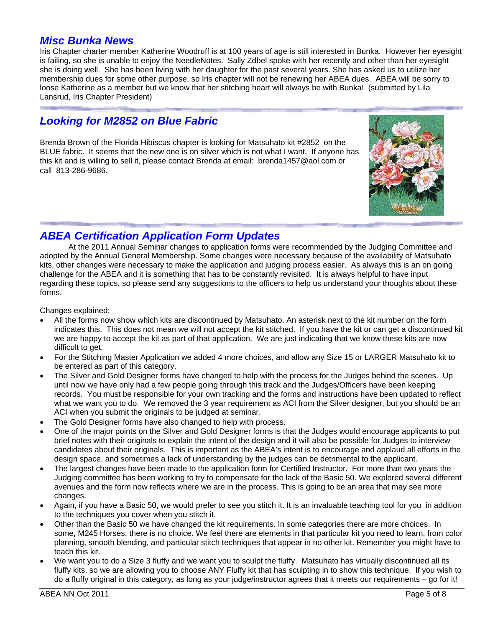#### *Misc Bunka News*

Iris Chapter charter member Katherine Woodruff is at 100 years of age is still interested in Bunka. However her eyesight is failing, so she is unable to enjoy the NeedleNotes. Sally Zdbel spoke with her recently and other than her eyesight she is doing well. She has been living with her daughter for the past several years. She has asked us to utilize her membership dues for some other purpose, so Iris chapter will not be renewing her ABEA dues. ABEA will be sorry to loose Katherine as a member but we know that her stitching heart will always be with Bunka! (submitted by Lila Lansrud, Iris Chapter President)

## *Looking for M2852 on Blue Fabric*

Brenda Brown of the Florida Hibiscus chapter is looking for Matsuhato kit #2852 on the BLUE fabric. It seems that the new one is on silver which is not what I want. If anyone has this kit and is willing to sell it, please contact Brenda at email: brenda1457@aol.com or call 813-286-9686.



## *ABEA Certification Application Form Updates*

At the 2011 Annual Seminar changes to application forms were recommended by the Judging Committee and adopted by the Annual General Membership. Some changes were necessary because of the availability of Matsuhato kits, other changes were necessary to make the application and judging process easier. As always this is an on going challenge for the ABEA and it is something that has to be constantly revisited. It is always helpful to have input regarding these topics, so please send any suggestions to the officers to help us understand your thoughts about these forms.

Changes explained:

- All the forms now show which kits are discontinued by Matsuhato. An asterisk next to the kit number on the form indicates this. This does not mean we will not accept the kit stitched. If you have the kit or can get a discontinued kit we are happy to accept the kit as part of that application. We are just indicating that we know these kits are now difficult to get.
- For the Stitching Master Application we added 4 more choices, and allow any Size 15 or LARGER Matsuhato kit to be entered as part of this category.
- The Silver and Gold Designer forms have changed to help with the process for the Judges behind the scenes. Up until now we have only had a few people going through this track and the Judges/Officers have been keeping records. You must be responsible for your own tracking and the forms and instructions have been updated to reflect what we want you to do. We removed the 3 year requirement as ACI from the Silver designer, but you should be an ACI when you submit the originals to be judged at seminar.
- The Gold Designer forms have also changed to help with process.
- One of the major points on the Silver and Gold Designer forms is that the Judges would encourage applicants to put brief notes with their originals to explain the intent of the design and it will also be possible for Judges to interview candidates about their originals. This is important as the ABEA's intent is to encourage and applaud all efforts in the design space, and sometimes a lack of understanding by the judges can be detrimental to the applicant.
- The largest changes have been made to the application form for Certified Instructor. For more than two years the Judging committee has been working to try to compensate for the lack of the Basic 50. We explored several different avenues and the form now reflects where we are in the process. This is going to be an area that may see more changes.
- Again, if you have a Basic 50, we would prefer to see you stitch it. It is an invaluable teaching tool for you in addition to the techniques you cover when you stitch it.
- Other than the Basic 50 we have changed the kit requirements. In some categories there are more choices. In some, M245 Horses, there is no choice. We feel there are elements in that particular kit you need to learn, from color planning, smooth blending, and particular stitch techniques that appear in no other kit. Remember you might have to teach this kit.
- We want you to do a Size 3 fluffy and we want you to sculpt the fluffy. Matsuhato has virtually discontinued all its fluffy kits, so we are allowing you to choose ANY Fluffy kit that has sculpting in to show this technique. If you wish to do a fluffy original in this category, as long as your judge/instructor agrees that it meets our requirements – go for it!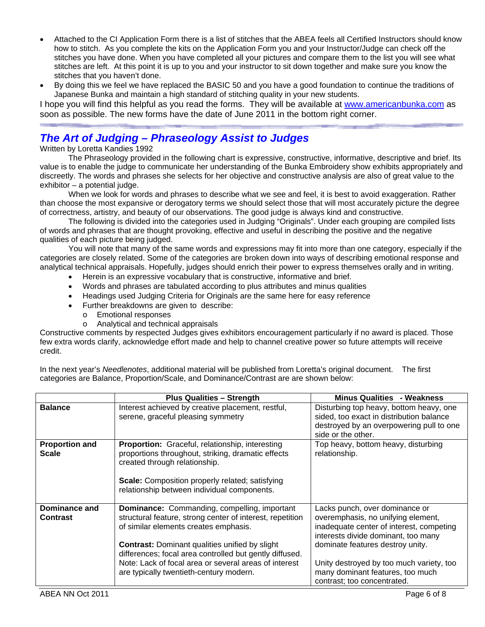- Attached to the CI Application Form there is a list of stitches that the ABEA feels all Certified Instructors should know how to stitch. As you complete the kits on the Application Form you and your Instructor/Judge can check off the stitches you have done. When you have completed all your pictures and compare them to the list you will see what stitches are left. At this point it is up to you and your instructor to sit down together and make sure you know the stitches that you haven't done.
- By doing this we feel we have replaced the BASIC 50 and you have a good foundation to continue the traditions of Japanese Bunka and maintain a high standard of stitching quality in your new students.

I hope you will find this helpful as you read the forms. They will be available at www.americanbunka.com as soon as possible. The new forms have the date of June 2011 in the bottom right corner.

# *The Art of Judging – Phraseology Assist to Judges*

Written by Loretta Kandies 1992

The Phraseology provided in the following chart is expressive, constructive, informative, descriptive and brief. Its value is to enable the judge to communicate her understanding of the Bunka Embroidery show exhibits appropriately and discreetly. The words and phrases she selects for her objective and constructive analysis are also of great value to the exhibitor – a potential judge.

When we look for words and phrases to describe what we see and feel, it is best to avoid exaggeration. Rather than choose the most expansive or derogatory terms we should select those that will most accurately picture the degree of correctness, artistry, and beauty of our observations. The good judge is always kind and constructive.

The following is divided into the categories used in Judging "Originals". Under each grouping are compiled lists of words and phrases that are thought provoking, effective and useful in describing the positive and the negative qualities of each picture being judged.

You will note that many of the same words and expressions may fit into more than one category, especially if the categories are closely related. Some of the categories are broken down into ways of describing emotional response and analytical technical appraisals. Hopefully, judges should enrich their power to express themselves orally and in writing.

- Herein is an expressive vocabulary that is constructive, informative and brief.
- Words and phrases are tabulated according to plus attributes and minus qualities
- Headings used Judging Criteria for Originals are the same here for easy reference
- Further breakdowns are given to describe:
	- o Emotional responses
	- o Analytical and technical appraisals

Constructive comments by respected Judges gives exhibitors encouragement particularly if no award is placed. Those few extra words clarify, acknowledge effort made and help to channel creative power so future attempts will receive credit.

In the next year's *Needlenotes*, additional material will be published from Loretta's original document. The first categories are Balance, Proportion/Scale, and Dominance/Contrast are are shown below:

|                                         | <b>Plus Qualities - Strength</b>                                                                                                                                                                                                                                                                                                                                                  | <b>Minus Qualities - Weakness</b>                                                                                                                                                                                                                                                                          |
|-----------------------------------------|-----------------------------------------------------------------------------------------------------------------------------------------------------------------------------------------------------------------------------------------------------------------------------------------------------------------------------------------------------------------------------------|------------------------------------------------------------------------------------------------------------------------------------------------------------------------------------------------------------------------------------------------------------------------------------------------------------|
| <b>Balance</b>                          | Interest achieved by creative placement, restful,<br>serene, graceful pleasing symmetry                                                                                                                                                                                                                                                                                           | Disturbing top heavy, bottom heavy, one<br>sided, too exact in distribution balance<br>destroyed by an overpowering pull to one<br>side or the other.                                                                                                                                                      |
| <b>Proportion and</b><br><b>Scale</b>   | Proportion: Graceful, relationship, interesting<br>proportions throughout, striking, dramatic effects<br>created through relationship.<br><b>Scale:</b> Composition properly related; satisfying<br>relationship between individual components.                                                                                                                                   | Top heavy, bottom heavy, disturbing<br>relationship.                                                                                                                                                                                                                                                       |
| <b>Dominance and</b><br><b>Contrast</b> | <b>Dominance:</b> Commanding, compelling, important<br>structural feature, strong center of interest, repetition<br>of similar elements creates emphasis.<br><b>Contrast:</b> Dominant qualities unified by slight<br>differences; focal area controlled but gently diffused.<br>Note: Lack of focal area or several areas of interest<br>are typically twentieth-century modern. | Lacks punch, over dominance or<br>overemphasis, no unifying element,<br>inadequate center of interest, competing<br>interests divide dominant, too many<br>dominate features destroy unity.<br>Unity destroyed by too much variety, too<br>many dominant features, too much<br>contrast; too concentrated. |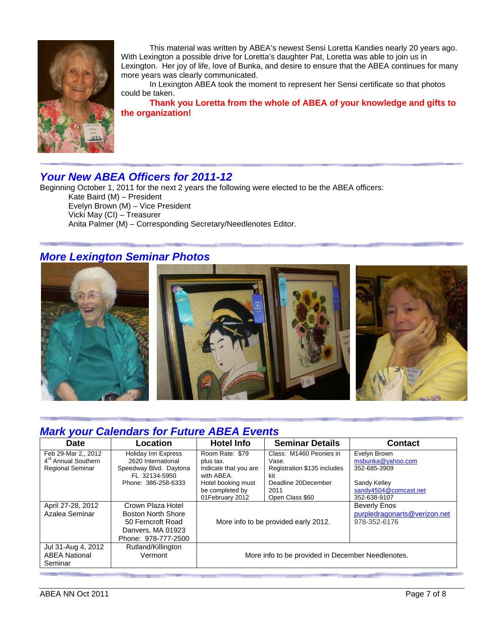

This material was written by ABEA's newest Sensi Loretta Kandies nearly 20 years ago. With Lexington a possible drive for Loretta's daughter Pat, Loretta was able to join us in Lexington. Her joy of life, love of Bunka, and desire to ensure that the ABEA continues for many more years was clearly communicated.

In Lexington ABEA took the moment to represent her Sensi certificate so that photos could be taken.

**Thank you Loretta from the whole of ABEA of your knowledge and gifts to the organization!** 

# *Your New ABEA Officers for 2011-12*

Beginning October 1, 2011 for the next 2 years the following were elected to be the ABEA officers: Kate Baird (M) – President Evelyn Brown (M) – Vice President Vicki May (CI) – Treasurer Anita Palmer (M) – Corresponding Secretary/Needlenotes Editor.

## *More Lexington Seminar Photos*



# *Mark your Calendars for Future ABEA Events*

| <b>Date</b>                                           | Location                                         | <b>Hotel Info</b>                                 | <b>Seminar Details</b>           | <b>Contact</b>                    |
|-------------------------------------------------------|--------------------------------------------------|---------------------------------------------------|----------------------------------|-----------------------------------|
| Feb 29-Mar 2, 2012<br>4 <sup>rd</sup> Annual Southern | <b>Holiday Inn Express</b><br>2620 International | Room Rate: \$79                                   | Class: M1460 Peonies in<br>Vase. | Evelyn Brown<br>msbunka@yahoo.com |
| <b>Regional Seminar</b>                               | Speedway Blvd. Daytona                           | plus tax.<br>Indicate that you are                | Registration \$135 includes      | 352-685-3909                      |
|                                                       | FL 32134-5950                                    | with ABEA.                                        | kit                              |                                   |
|                                                       | Phone: 386-258-6333                              | Hotel booking must                                | Deadline 20December              | Sandy Kelley                      |
|                                                       |                                                  | be completed by                                   | 2011                             | sandy4504@comcast.net             |
|                                                       |                                                  | 01February 2012                                   | Open Class \$60                  | 352-638-9107                      |
| April 27-28, 2012                                     | Crown Plaza Hotel                                | More info to be provided early 2012.              |                                  | <b>Beverly Enos</b>               |
| Azalea Seminar                                        | Boston North Shore                               |                                                   |                                  | purpledragonarts@verizon.net      |
|                                                       | 50 Ferncroft Road                                |                                                   |                                  | 978-352-6176                      |
|                                                       | Danvers, MA 01923                                |                                                   |                                  |                                   |
|                                                       | Phone: 978-777-2500                              |                                                   |                                  |                                   |
| Jul 31-Aug 4, 2012                                    | Rutland/Killington                               |                                                   |                                  |                                   |
| <b>ABEA National</b>                                  | Vermont                                          | More info to be provided in December Needlenotes. |                                  |                                   |
| Seminar                                               |                                                  |                                                   |                                  |                                   |